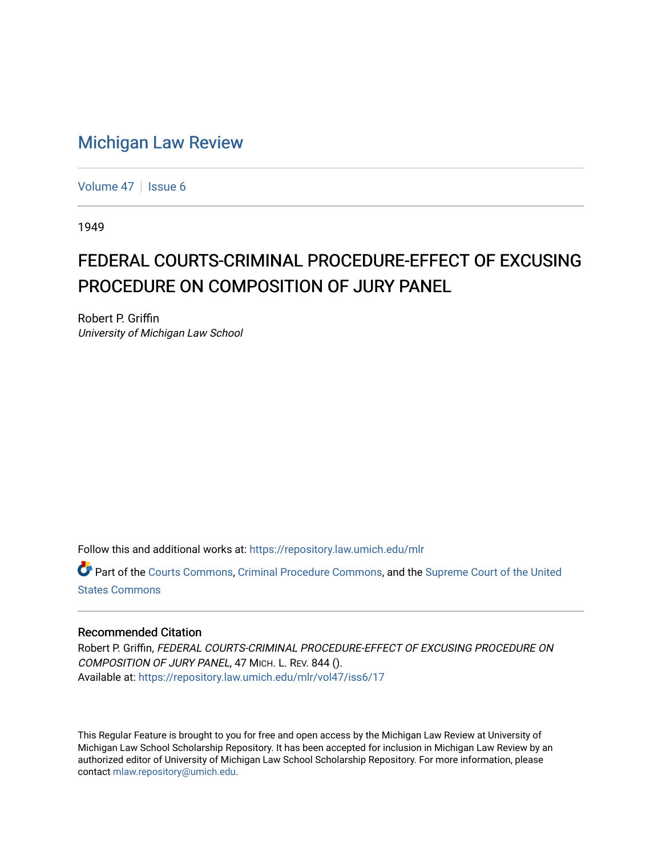## [Michigan Law Review](https://repository.law.umich.edu/mlr)

[Volume 47](https://repository.law.umich.edu/mlr/vol47) | [Issue 6](https://repository.law.umich.edu/mlr/vol47/iss6)

1949

## FEDERAL COURTS-CRIMINAL PROCEDURE-EFFECT OF EXCUSING PROCEDURE ON COMPOSITION OF JURY PANEL

Robert P. Griffin University of Michigan Law School

Follow this and additional works at: [https://repository.law.umich.edu/mlr](https://repository.law.umich.edu/mlr?utm_source=repository.law.umich.edu%2Fmlr%2Fvol47%2Fiss6%2F17&utm_medium=PDF&utm_campaign=PDFCoverPages) 

Part of the [Courts Commons,](http://network.bepress.com/hgg/discipline/839?utm_source=repository.law.umich.edu%2Fmlr%2Fvol47%2Fiss6%2F17&utm_medium=PDF&utm_campaign=PDFCoverPages) [Criminal Procedure Commons,](http://network.bepress.com/hgg/discipline/1073?utm_source=repository.law.umich.edu%2Fmlr%2Fvol47%2Fiss6%2F17&utm_medium=PDF&utm_campaign=PDFCoverPages) and the [Supreme Court of the United](http://network.bepress.com/hgg/discipline/1350?utm_source=repository.law.umich.edu%2Fmlr%2Fvol47%2Fiss6%2F17&utm_medium=PDF&utm_campaign=PDFCoverPages)  [States Commons](http://network.bepress.com/hgg/discipline/1350?utm_source=repository.law.umich.edu%2Fmlr%2Fvol47%2Fiss6%2F17&utm_medium=PDF&utm_campaign=PDFCoverPages) 

## Recommended Citation

Robert P. Griffin, FEDERAL COURTS-CRIMINAL PROCEDURE-EFFECT OF EXCUSING PROCEDURE ON COMPOSITION OF JURY PANEL, 47 MICH. L. REV. 844 (). Available at: [https://repository.law.umich.edu/mlr/vol47/iss6/17](https://repository.law.umich.edu/mlr/vol47/iss6/17?utm_source=repository.law.umich.edu%2Fmlr%2Fvol47%2Fiss6%2F17&utm_medium=PDF&utm_campaign=PDFCoverPages) 

This Regular Feature is brought to you for free and open access by the Michigan Law Review at University of Michigan Law School Scholarship Repository. It has been accepted for inclusion in Michigan Law Review by an authorized editor of University of Michigan Law School Scholarship Repository. For more information, please contact [mlaw.repository@umich.edu](mailto:mlaw.repository@umich.edu).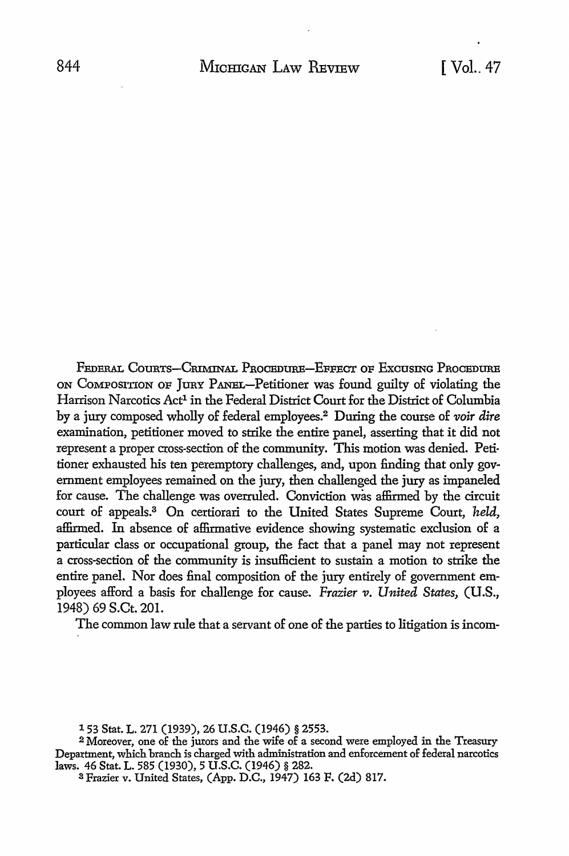FEDERAL COURTS-CRIMINAL PROCEDURE-EFFECT OF EXCUSING PROCEDURE ON CoMPOSITION OF JURY PANEL-Petitioner was found guilty of violating the Harrison Narcotics Act<sup>1</sup> in the Federal District Court for the District of Columbia by a jury composed wholly of federal employees.<sup>2</sup> During the course of *voir dire* examination, petitioner moved to strike the entire panel, asserting that it did not represent a proper cross-section of the community. This motion was denied. Petitioner exhausted his ten peremptory challenges, and, upon finding that only government employees remained on the jury, then challenged the jury as impaneled for cause. The challenge was overruled. Conviction was affirmed by the circuit court of appeals.3 On certiorari to the United States Supreme Court, *held,*  affirmed. In absence of affirmative evidence showing systematic exclusion of a particular class or occupational group, the fact that a panel may not represent a cross-section of the community is insufficient to sustain a motion to strike the entire panel. Nor does final composition of the jury entirely of government employees afford a basis for challenge for cause. *Frazier v. United States*, *(U.S.,* 1948) 69 S.Ct. 201.

The common law rule that a servant of one of the parties to litigation is incom-

<sup>153</sup> Stat. L. 271 (1939), 26 U.S.C. (1946) § 2553.

<sup>2</sup>Moreover, one of the jurors and the wife of a second were employed in the Treasury Department, which branch is charged with administration and enforcement of federal narcotics laws. 46 Stat. L. 585 (1930), 5 U.S.C. (1946) § 282.

<sup>3</sup> Frazier v. United States, (App. D.C., 1947) 163 F. (2d) 817.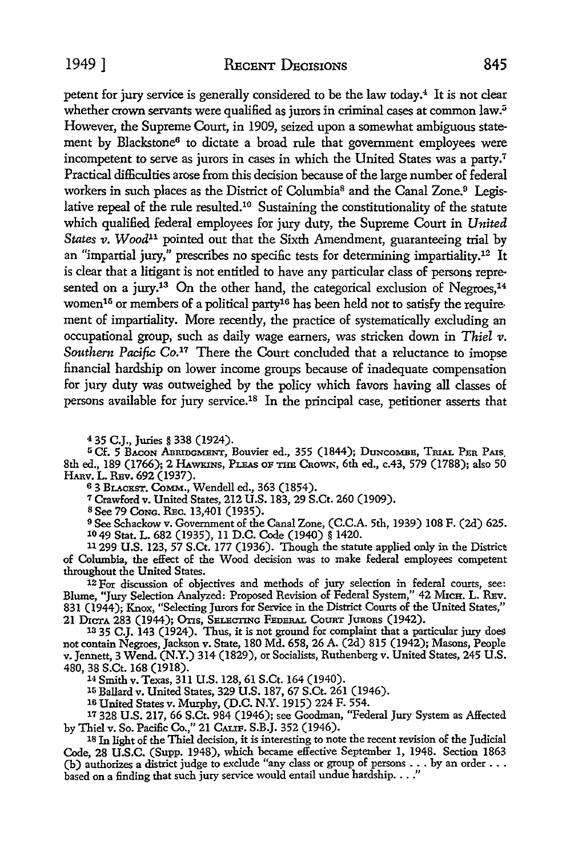1949 I RECENT DECISIONS 845

petent for jury service is generally considered to be the law today.<sup>4</sup> It is not clear whether crown servants were qualified as jurors in criminal cases at common law.<sup>5</sup> However, the Supreme Court, in 1909, seized upon a somewhat ambiguous statement by Blackstone<sup>6</sup> to dictate a broad rule that government employees were incompetent to serve as jurors in cases in which the United States was a party.<sup>7</sup> Practical difficulties arose from this decision because of the large number of federal workers in such places as the District of Columbia<sup>8</sup> and the Canal Zone.<sup>9</sup> Legislative repeal of the rule resulted.10 Sustaining the constitutionality of the statute which qualified federal employees for jury duty, the Supreme Court in *United States v. Wood*<sup>11</sup> pointed out that the Sixth Amendment, guaranteeing trial by an "impartial jury," prescribes no specific tests for determining impartiality.12 It is clear that a litigant is not entitled to have any particular class of persons represented on a jury.<sup>13</sup> On the other hand, the categorical exclusion of Negroes,<sup>14</sup> women<sup>15</sup> or members of a political party<sup>16</sup> has been held not to satisfy the requirement of impartiality. More recently, the practice of systematically excluding an occupational group, such as daily wage earners, was stricken down in *Thiel v.*  Southern Pacific Co.<sup>17</sup> There the Court concluded that a reluctance to imopse financial hardship on lower income groups because of inadequate compensation for jury duty was outweighed by the policy which favors having all classes of persons available for jury service.18 In the principal case, petitioner asserts that

<sup>4</sup> 35 C.J., Juries § 338 (1924).<br><sup>5</sup> Cf. 5 Bacon Abridgment, Bouvier ed., 355 (1844); Duncombe, Trial Per Pais. 8th ed., 189 (1766); 2 HAWKINS, PLEAS OF THE CRoWN, 6th ed., c.43, 579 (1788); also 50 HARV. L. REV. 692 (1937).

<sup>6</sup>3 BLACKST. **CoMM.,** Wendell ed., 363 (1854).

<sup>7</sup>Crawford v. United States, 212 U.S. 183, 29 S.Ct. 260 (1909).

8 See 79 Cong. REC. 13,401 (1935).

9 See Schackow v. Government of the Canal Zone, (C.C.A. 5th, 1939) 108 F. (2d) 625. 10 49 Stat. L. 682 (1935), 11 D.C. Code (1940) § 1420.

11299 U.S. 123, 57 S.Ct. 177 (1936). Though the statute applied only in the District of Columbia, the effect of the Wood decision was to make federal employees competent throughout the United States.

12 For discussion of objectives and methods of jury selection in federal courts, see: Blume, "Jury Selection Analyzed: Proposed Revision of Federal System," 42 M1cn. L. Ruv. 831 (1944); Knox, "Selecting Jurors for Service in the District Courts of the United States," 21 DICTA 283 (1944); Ons, SELECTING FEDERAL CounT Junons (1942).

<sup>13</sup> 35 C.J. 143 (1924). Thus, it is not ground for complaint that a particular jury does not contain Negroes, Jackson v. State, 180 Md. 658, 26 A. (2d) 815 (1942); Masons, People v. Jennett, 3 Wend. (N.Y.) 314 (1829), or Socialists, Ruthenberg v. United States, 245 U.S. 480, 38 S.Ct. 168 (1918).

<sup>14</sup>Smith v. Texas, 311 U.S. 128, 61 S.Ct. 164 (1940).

IG Ballard v. United States, 329 U.S. 187, 67 S.Ct. 261 (1946).

10 United States v. Murphy, (D.C. N.Y. 1915) 224 F. 554.

17 328 U.S. 217, 66 S.Ct. 984 (1946); see Goodman, "Federal Jury System as Affected by Thiel v. So. Pacific Co.," 21 CALIF. S.B.J. 352 (1946).

18 In light of the Thiel decision, it is interesting to note the recent revision of the Judicial Code, 28 U.S.C. (Supp. 1948), which became effective September 1, 1948. Section 1863 (b) authorizes a district judge to exclude "any class or group of persons •.. by an order ... based on a finding that such jury service would entail undue hardship....